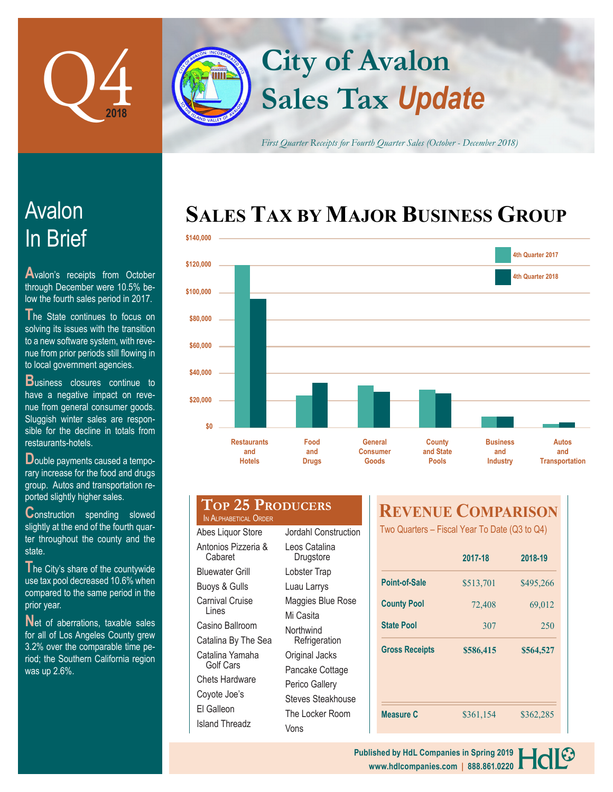

# **Sales Tax** *Update* **City of Avalon**

*First Quarter Receipts for Fourth Quarter Sales (October - December 2018)*

### **SALES TAX BY MAJOR BUSINESS GROUP**



## In Brief Avalon

**A**valon's receipts from October through December were 10.5% below the fourth sales period in 2017.

The State continues to focus on solving its issues with the transition to a new software system, with revenue from prior periods still flowing in to local government agencies.

**Business** closures continue to have a negative impact on revenue from general consumer goods. Sluggish winter sales are responsible for the decline in totals from restaurants-hotels.

**D**ouble payments caused a temporary increase for the food and drugs group. Autos and transportation reported slightly higher sales.

**Construction** spending slowed slightly at the end of the fourth quarter throughout the county and the state.

The City's share of the countywide use tax pool decreased 10.6% when compared to the same period in the prior year.

Net of aberrations, taxable sales for all of Los Angeles County grew 3.2% over the comparable time period; the Southern California region was up 2.6%.

**Top 25 Producers** IN ALPHABETICAL OR

| Abes Liquor Store        | Jordahl Construction |  |
|--------------------------|----------------------|--|
| Antonios Pizzeria &      | Leos Catalina        |  |
| Cabaret                  | Drugstore            |  |
| Bluewater Grill          | Lobster Trap         |  |
| <b>Buoys &amp; Gulls</b> | Luau Larrys          |  |
| Carnival Cruise          | Maggies Blue Rose    |  |
| Lines                    | Mi Casita            |  |
| Casino Ballroom          | Northwind            |  |
| Catalina By The Sea      | Refrigeration        |  |
| Catalina Yamaha          | Original Jacks       |  |
| Golf Cars                | Pancake Cottage      |  |
| Chets Hardware           | Perico Gallery       |  |
| Coyote Joe's             | Steves Steakhouse    |  |
| El Galleon               | The Locker Room      |  |
| Island Threadz           | Vons                 |  |
|                          |                      |  |

### **REVENUE COMPARISON**

Two Quarters – Fiscal Year To Date (Q3 to Q4)

|                       | 2017-18   | 2018-19   |
|-----------------------|-----------|-----------|
| <b>Point-of-Sale</b>  | \$513,701 | \$495,266 |
| <b>County Pool</b>    | 72,408    | 69,012    |
| <b>State Pool</b>     | 307       | 250       |
|                       |           |           |
| <b>Gross Receipts</b> | \$586,415 | \$564,527 |
|                       |           |           |
|                       |           |           |